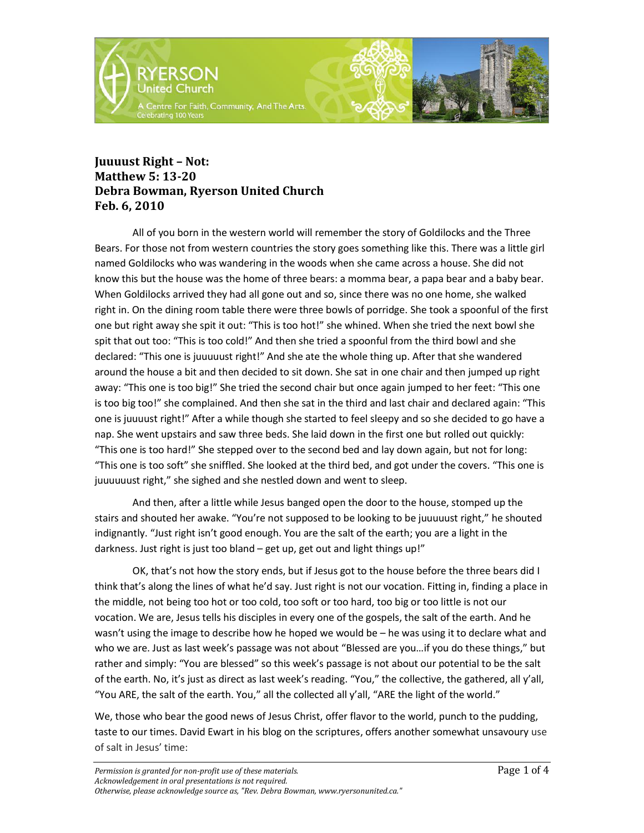

## **Juuuust Right – Not: Matthew 5: 13-20 Debra Bowman, Ryerson United Church Feb. 6, 2010**

All of you born in the western world will remember the story of Goldilocks and the Three Bears. For those not from western countries the story goes something like this. There was a little girl named Goldilocks who was wandering in the woods when she came across a house. She did not know this but the house was the home of three bears: a momma bear, a papa bear and a baby bear. When Goldilocks arrived they had all gone out and so, since there was no one home, she walked right in. On the dining room table there were three bowls of porridge. She took a spoonful of the first one but right away she spit it out: "This is too hot!" she whined. When she tried the next bowl she spit that out too: "This is too cold!" And then she tried a spoonful from the third bowl and she declared: "This one is juuuuust right!" And she ate the whole thing up. After that she wandered around the house a bit and then decided to sit down. She sat in one chair and then jumped up right away: "This one is too big!" She tried the second chair but once again jumped to her feet: "This one is too big too!" she complained. And then she sat in the third and last chair and declared again: "This one is juuuust right!" After a while though she started to feel sleepy and so she decided to go have a nap. She went upstairs and saw three beds. She laid down in the first one but rolled out quickly: "This one is too hard!" She stepped over to the second bed and lay down again, but not for long: "This one is too soft" she sniffled. She looked at the third bed, and got under the covers. "This one is juuuuuust right," she sighed and she nestled down and went to sleep.

And then, after a little while Jesus banged open the door to the house, stomped up the stairs and shouted her awake. "You're not supposed to be looking to be juuuuust right," he shouted indignantly. "Just right isn't good enough. You are the salt of the earth; you are a light in the darkness. Just right is just too bland – get up, get out and light things up!"

OK, that's not how the story ends, but if Jesus got to the house before the three bears did I think that's along the lines of what he'd say. Just right is not our vocation. Fitting in, finding a place in the middle, not being too hot or too cold, too soft or too hard, too big or too little is not our vocation. We are, Jesus tells his disciples in every one of the gospels, the salt of the earth. And he wasn't using the image to describe how he hoped we would be – he was using it to declare what and who we are. Just as last week's passage was not about "Blessed are you…if you do these things," but rather and simply: "You are blessed" so this week's passage is not about our potential to be the salt of the earth. No, it's just as direct as last week's reading. "You," the collective, the gathered, all y'all, "You ARE, the salt of the earth. You," all the collected all y'all, "ARE the light of the world."

We, those who bear the good news of Jesus Christ, offer flavor to the world, punch to the pudding, taste to our times. David Ewart in his blog on the scriptures, offers another somewhat unsavoury use of salt in Jesus' time: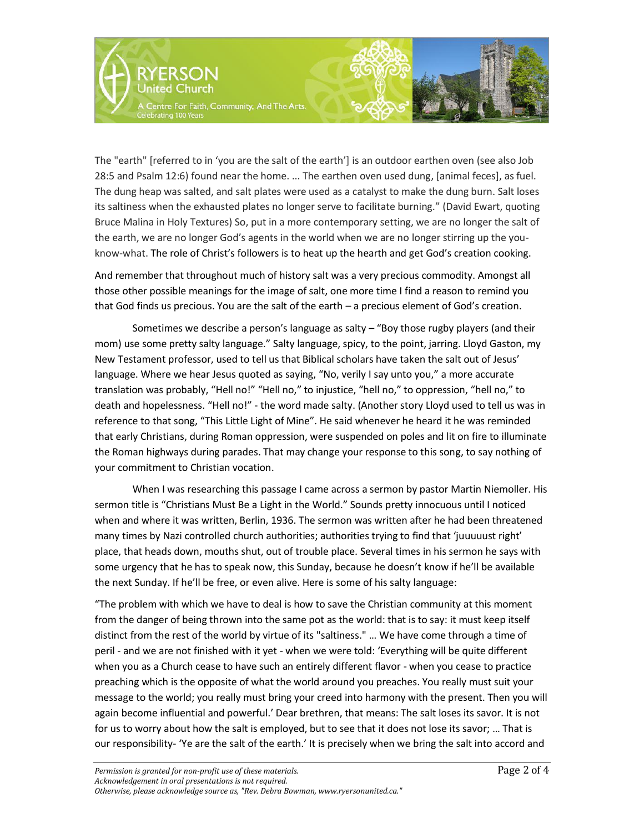

The "earth" [referred to in 'you are the salt of the earth'] is an outdoor earthen oven (see also Job 28:5 and Psalm 12:6) found near the home. ... The earthen oven used dung, [animal feces], as fuel. The dung heap was salted, and salt plates were used as a catalyst to make the dung burn. Salt loses its saltiness when the exhausted plates no longer serve to facilitate burning." (David Ewart, quoting Bruce Malina in Holy Textures) So, put in a more contemporary setting, we are no longer the salt of the earth, we are no longer God's agents in the world when we are no longer stirring up the youknow-what. The role of Christ's followers is to heat up the hearth and get God's creation cooking.

And remember that throughout much of history salt was a very precious commodity. Amongst all those other possible meanings for the image of salt, one more time I find a reason to remind you that God finds us precious. You are the salt of the earth – a precious element of God's creation.

Sometimes we describe a person's language as salty – "Boy those rugby players (and their mom) use some pretty salty language." Salty language, spicy, to the point, jarring. Lloyd Gaston, my New Testament professor, used to tell us that Biblical scholars have taken the salt out of Jesus' language. Where we hear Jesus quoted as saying, "No, verily I say unto you," a more accurate translation was probably, "Hell no!" "Hell no," to injustice, "hell no," to oppression, "hell no," to death and hopelessness. "Hell no!" - the word made salty. (Another story Lloyd used to tell us was in reference to that song, "This Little Light of Mine". He said whenever he heard it he was reminded that early Christians, during Roman oppression, were suspended on poles and lit on fire to illuminate the Roman highways during parades. That may change your response to this song, to say nothing of your commitment to Christian vocation.

When I was researching this passage I came across a sermon by pastor Martin Niemoller. His sermon title is "Christians Must Be a Light in the World." Sounds pretty innocuous until I noticed when and where it was written, Berlin, 1936. The sermon was written after he had been threatened many times by Nazi controlled church authorities; authorities trying to find that 'juuuuust right' place, that heads down, mouths shut, out of trouble place. Several times in his sermon he says with some urgency that he has to speak now, this Sunday, because he doesn't know if he'll be available the next Sunday. If he'll be free, or even alive. Here is some of his salty language:

"The problem with which we have to deal is how to save the Christian community at this moment from the danger of being thrown into the same pot as the world: that is to say: it must keep itself distinct from the rest of the world by virtue of its "saltiness." … We have come through a time of peril - and we are not finished with it yet - when we were told: 'Everything will be quite different when you as a Church cease to have such an entirely different flavor - when you cease to practice preaching which is the opposite of what the world around you preaches. You really must suit your message to the world; you really must bring your creed into harmony with the present. Then you will again become influential and powerful.' Dear brethren, that means: The salt loses its savor. It is not for us to worry about how the salt is employed, but to see that it does not lose its savor; … That is our responsibility- 'Ye are the salt of the earth.' It is precisely when we bring the salt into accord and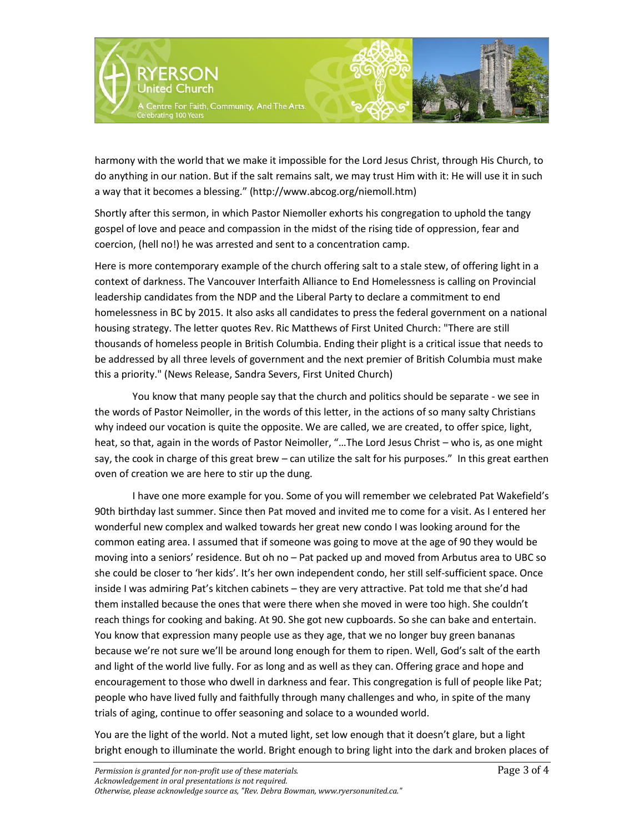

harmony with the world that we make it impossible for the Lord Jesus Christ, through His Church, to do anything in our nation. But if the salt remains salt, we may trust Him with it: He will use it in such a way that it becomes a blessing." (http://www.abcog.org/niemoll.htm)

Shortly after this sermon, in which Pastor Niemoller exhorts his congregation to uphold the tangy gospel of love and peace and compassion in the midst of the rising tide of oppression, fear and coercion, (hell no!) he was arrested and sent to a concentration camp.

Here is more contemporary example of the church offering salt to a stale stew, of offering light in a context of darkness. The Vancouver Interfaith Alliance to End Homelessness is calling on Provincial leadership candidates from the NDP and the Liberal Party to declare a commitment to end homelessness in BC by 2015. It also asks all candidates to press the federal government on a national housing strategy. The letter quotes Rev. Ric Matthews of First United Church: "There are still thousands of homeless people in British Columbia. Ending their plight is a critical issue that needs to be addressed by all three levels of government and the next premier of British Columbia must make this a priority." (News Release, Sandra Severs, First United Church)

You know that many people say that the church and politics should be separate - we see in the words of Pastor Neimoller, in the words of this letter, in the actions of so many salty Christians why indeed our vocation is quite the opposite. We are called, we are created, to offer spice, light, heat, so that, again in the words of Pastor Neimoller, "…The Lord Jesus Christ – who is, as one might say, the cook in charge of this great brew – can utilize the salt for his purposes." In this great earthen oven of creation we are here to stir up the dung.

I have one more example for you. Some of you will remember we celebrated Pat Wakefield's 90th birthday last summer. Since then Pat moved and invited me to come for a visit. As I entered her wonderful new complex and walked towards her great new condo I was looking around for the common eating area. I assumed that if someone was going to move at the age of 90 they would be moving into a seniors' residence. But oh no – Pat packed up and moved from Arbutus area to UBC so she could be closer to 'her kids'. It's her own independent condo, her still self-sufficient space. Once inside I was admiring Pat's kitchen cabinets – they are very attractive. Pat told me that she'd had them installed because the ones that were there when she moved in were too high. She couldn't reach things for cooking and baking. At 90. She got new cupboards. So she can bake and entertain. You know that expression many people use as they age, that we no longer buy green bananas because we're not sure we'll be around long enough for them to ripen. Well, God's salt of the earth and light of the world live fully. For as long and as well as they can. Offering grace and hope and encouragement to those who dwell in darkness and fear. This congregation is full of people like Pat; people who have lived fully and faithfully through many challenges and who, in spite of the many trials of aging, continue to offer seasoning and solace to a wounded world.

You are the light of the world. Not a muted light, set low enough that it doesn't glare, but a light bright enough to illuminate the world. Bright enough to bring light into the dark and broken places of